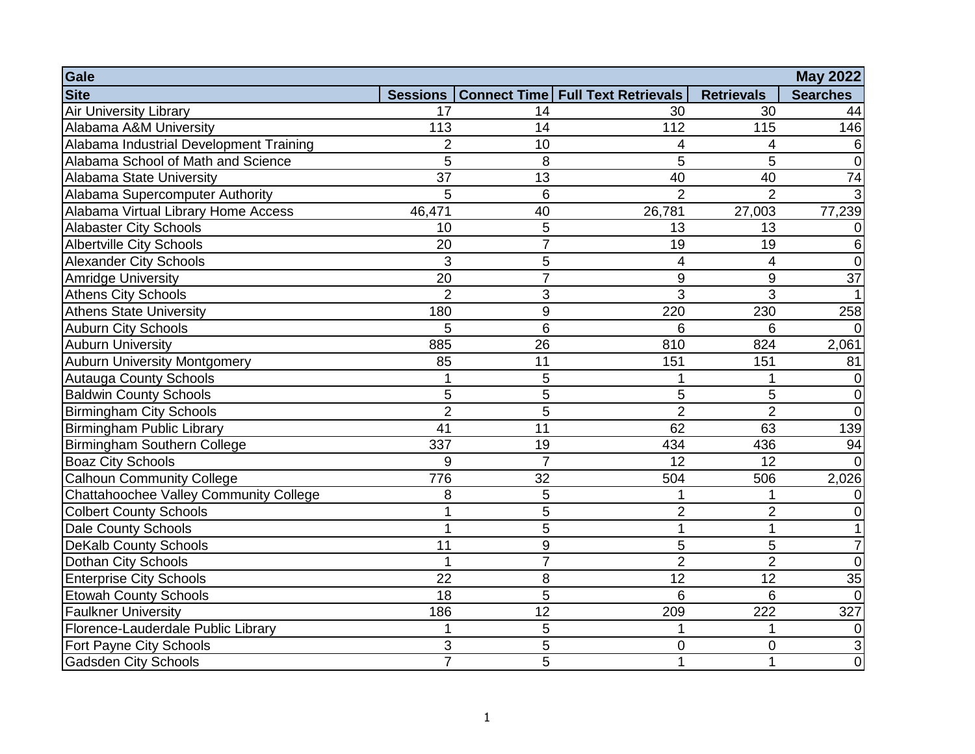| Gale                                    |                |                 |                                                |                         | <b>May 2022</b> |
|-----------------------------------------|----------------|-----------------|------------------------------------------------|-------------------------|-----------------|
| <b>Site</b>                             |                |                 | Sessions   Connect Time   Full Text Retrievals | <b>Retrievals</b>       | <b>Searches</b> |
| <b>Air University Library</b>           | 17             | 14              | 30                                             | 30                      | 44              |
| Alabama A&M University                  | 113            | 14              | 112                                            | 115                     | 146             |
| Alabama Industrial Development Training | $\overline{2}$ | 10              | 4                                              | 4                       |                 |
| Alabama School of Math and Science      | 5              | 8               | 5                                              | 5                       | 0               |
| Alabama State University                | 37             | 13              | 40                                             | 40                      | 74              |
| Alabama Supercomputer Authority         | 5              | $6\phantom{1}6$ | $\overline{2}$                                 | $\overline{2}$          |                 |
| Alabama Virtual Library Home Access     | 46,471         | 40              | 26,781                                         | 27,003                  | 77,239          |
| <b>Alabaster City Schools</b>           | 10             | 5               | 13                                             | 13                      | 0               |
| <b>Albertville City Schools</b>         | 20             | $\overline{7}$  | 19                                             | 19                      | 6               |
| <b>Alexander City Schools</b>           | 3              | 5               | 4                                              | $\overline{\mathbf{4}}$ | 0               |
| <b>Amridge University</b>               | 20             | $\overline{7}$  | 9                                              | 9                       | $\overline{37}$ |
| Athens City Schools                     | $\overline{2}$ | 3               | 3                                              | 3                       |                 |
| <b>Athens State University</b>          | 180            | 9               | 220                                            | 230                     | 258             |
| <b>Auburn City Schools</b>              | 5              | 6               | 6                                              | 6                       |                 |
| <b>Auburn University</b>                | 885            | 26              | 810                                            | 824                     | 2,061           |
| <b>Auburn University Montgomery</b>     | 85             | 11              | 151                                            | 151                     | 81              |
| Autauga County Schools                  |                | 5               |                                                |                         | 0               |
| <b>Baldwin County Schools</b>           | 5              | 5               | 5                                              | 5                       | $\Omega$        |
| <b>Birmingham City Schools</b>          | $\overline{2}$ | 5               | $\overline{2}$                                 | $\overline{2}$          | $\Omega$        |
| Birmingham Public Library               | 41             | 11              | 62                                             | 63                      | 139             |
| Birmingham Southern College             | 337            | 19              | 434                                            | 436                     | 94              |
| <b>Boaz City Schools</b>                | 9              | $\overline{7}$  | $\overline{12}$                                | $\overline{12}$         | $\Omega$        |
| <b>Calhoun Community College</b>        | 776            | 32              | 504                                            | 506                     | 2,026           |
| Chattahoochee Valley Community College  | 8              | 5               |                                                |                         |                 |
| <b>Colbert County Schools</b>           |                | 5               | $\overline{2}$                                 | $\overline{2}$          |                 |
| Dale County Schools                     | 1              | 5               | 1                                              | $\mathbf{1}$            |                 |
| <b>DeKalb County Schools</b>            | 11             | 9               | 5                                              | $\overline{5}$          |                 |
| Dothan City Schools                     | 1              | $\overline{7}$  | $\overline{2}$                                 | $\overline{2}$          | 0               |
| <b>Enterprise City Schools</b>          | 22             | 8               | 12                                             | 12                      | 35              |
| <b>Etowah County Schools</b>            | 18             | 5               | 6                                              | 6                       | $\Omega$        |
| <b>Faulkner University</b>              | 186            | 12              | 209                                            | 222                     | 327             |
| Florence-Lauderdale Public Library      | 1              | 5               |                                                |                         | 0               |
| Fort Payne City Schools                 | 3              | 5               | 0                                              | 0                       |                 |
| <b>Gadsden City Schools</b>             | $\overline{7}$ | 5               | 1                                              | 1                       | 0               |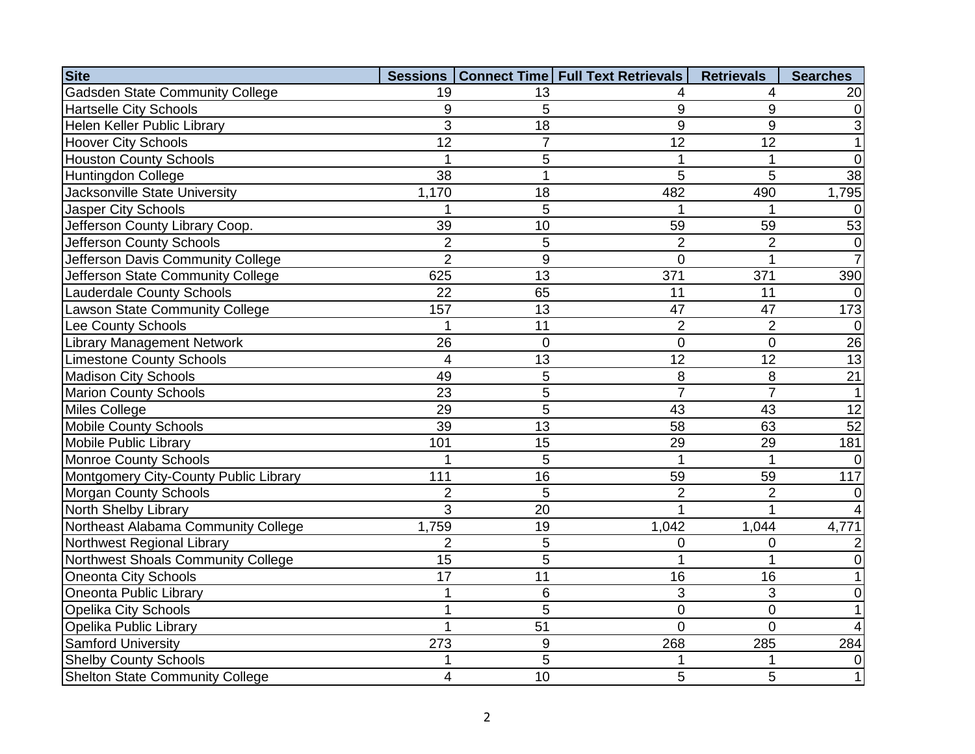| <b>Site</b>                            |                 |                | Sessions   Connect Time   Full Text Retrievals | <b>Retrievals</b> | <b>Searches</b> |
|----------------------------------------|-----------------|----------------|------------------------------------------------|-------------------|-----------------|
| <b>Gadsden State Community College</b> | 19              | 13             |                                                | 4                 | 20              |
| <b>Hartselle City Schools</b>          | 9               | 5              | 9                                              | 9                 | $\Omega$        |
| Helen Keller Public Library            | 3               | 18             | 9                                              | 9                 |                 |
| <b>Hoover City Schools</b>             | 12              | $\overline{7}$ | 12                                             | 12                |                 |
| <b>Houston County Schools</b>          |                 | 5              |                                                | $\mathbf 1$       | $\Omega$        |
| Huntingdon College                     | 38              |                | 5                                              | 5                 | $\overline{38}$ |
| Jacksonville State University          | 1,170           | 18             | 482                                            | 490               | 1,795           |
| <b>Jasper City Schools</b>             |                 | 5              |                                                |                   | $\Omega$        |
| Jefferson County Library Coop.         | 39              | 10             | 59                                             | 59                | 53              |
| Jefferson County Schools               | $\overline{2}$  | 5              | $\overline{2}$                                 | $\overline{2}$    | $\overline{0}$  |
| Jefferson Davis Community College      | $\overline{2}$  | 9              | $\overline{0}$                                 | 1                 |                 |
| Jefferson State Community College      | 625             | 13             | 371                                            | 371               | 390             |
| <b>Lauderdale County Schools</b>       | 22              | 65             | 11                                             | 11                | $\Omega$        |
| Lawson State Community College         | 157             | 13             | 47                                             | 47                | 173             |
| Lee County Schools                     |                 | 11             | $\overline{2}$                                 | $\overline{2}$    | $\Omega$        |
| <b>Library Management Network</b>      | 26              | $\overline{0}$ | $\overline{0}$                                 | $\overline{0}$    | 26              |
| <b>Limestone County Schools</b>        | $\overline{4}$  | 13             | $\overline{12}$                                | $\overline{12}$   | $\overline{13}$ |
| <b>Madison City Schools</b>            | 49              | 5              | 8                                              | $\,8\,$           | $\overline{21}$ |
| <b>Marion County Schools</b>           | 23              | 5              | $\overline{7}$                                 | $\overline{7}$    | $\mathbf 1$     |
| Miles College                          | 29              | 5              | 43                                             | 43                | 12              |
| <b>Mobile County Schools</b>           | 39              | 13             | 58                                             | 63                | 52              |
| Mobile Public Library                  | 101             | 15             | 29                                             | 29                | 181             |
| <b>Monroe County Schools</b>           |                 | 5              | 1                                              |                   |                 |
| Montgomery City-County Public Library  | 111             | 16             | 59                                             | 59                | 117             |
| <b>Morgan County Schools</b>           | $\overline{2}$  | 5              | $\overline{2}$                                 | $\overline{2}$    |                 |
| North Shelby Library                   | 3               | 20             | 1                                              |                   |                 |
| Northeast Alabama Community College    | 1,759           | 19             | 1,042                                          | 1,044             | 4,771           |
| Northwest Regional Library             | $\overline{2}$  | 5              | 0                                              | 0                 |                 |
| Northwest Shoals Community College     | $\overline{15}$ | 5              | 1                                              | 1                 |                 |
| Oneonta City Schools                   | 17              | 11             | 16                                             | 16                |                 |
| Oneonta Public Library                 |                 | 6              | 3                                              | 3                 |                 |
| <b>Opelika City Schools</b>            |                 | 5              | $\mathbf 0$                                    | $\overline{0}$    |                 |
| Opelika Public Library                 | 1               | 51             | $\overline{0}$                                 | $\overline{0}$    |                 |
| <b>Samford University</b>              | 273             | 9              | 268                                            | 285               | 284             |
| <b>Shelby County Schools</b>           |                 | $\overline{5}$ |                                                |                   |                 |
| <b>Shelton State Community College</b> | 4               | 10             | 5                                              | 5                 |                 |